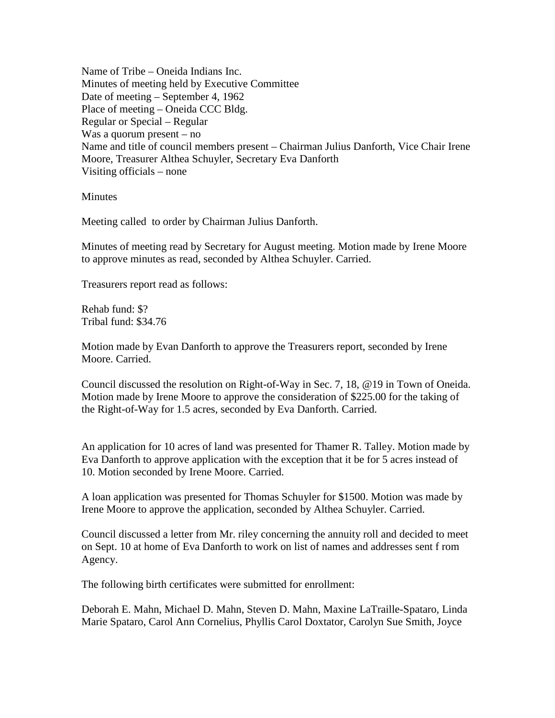Name of Tribe – Oneida Indians Inc. Minutes of meeting held by Executive Committee Date of meeting – September 4, 1962 Place of meeting – Oneida CCC Bldg. Regular or Special – Regular Was a quorum present – no Name and title of council members present – Chairman Julius Danforth, Vice Chair Irene Moore, Treasurer Althea Schuyler, Secretary Eva Danforth Visiting officials – none

**Minutes** 

Meeting called to order by Chairman Julius Danforth.

Minutes of meeting read by Secretary for August meeting. Motion made by Irene Moore to approve minutes as read, seconded by Althea Schuyler. Carried.

Treasurers report read as follows:

Rehab fund: \$? Tribal fund: \$34.76

Motion made by Evan Danforth to approve the Treasurers report, seconded by Irene Moore. Carried.

Council discussed the resolution on Right-of-Way in Sec. 7, 18, @19 in Town of Oneida. Motion made by Irene Moore to approve the consideration of \$225.00 for the taking of the Right-of-Way for 1.5 acres, seconded by Eva Danforth. Carried.

An application for 10 acres of land was presented for Thamer R. Talley. Motion made by Eva Danforth to approve application with the exception that it be for 5 acres instead of 10. Motion seconded by Irene Moore. Carried.

A loan application was presented for Thomas Schuyler for \$1500. Motion was made by Irene Moore to approve the application, seconded by Althea Schuyler. Carried.

Council discussed a letter from Mr. riley concerning the annuity roll and decided to meet on Sept. 10 at home of Eva Danforth to work on list of names and addresses sent f rom Agency.

The following birth certificates were submitted for enrollment:

Deborah E. Mahn, Michael D. Mahn, Steven D. Mahn, Maxine LaTraille-Spataro, Linda Marie Spataro, Carol Ann Cornelius, Phyllis Carol Doxtator, Carolyn Sue Smith, Joyce